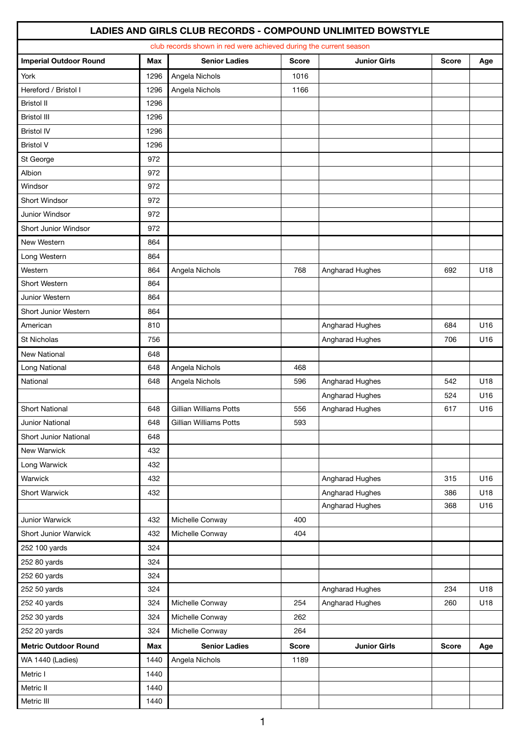|                               |      | club records shown in red were achieved during the current season |              |                     |              |     |
|-------------------------------|------|-------------------------------------------------------------------|--------------|---------------------|--------------|-----|
| <b>Imperial Outdoor Round</b> | Max  | <b>Senior Ladies</b>                                              | <b>Score</b> | <b>Junior Girls</b> | <b>Score</b> | Age |
| York                          | 1296 | Angela Nichols                                                    | 1016         |                     |              |     |
| Hereford / Bristol I          | 1296 | Angela Nichols                                                    | 1166         |                     |              |     |
| <b>Bristol II</b>             | 1296 |                                                                   |              |                     |              |     |
| <b>Bristol III</b>            | 1296 |                                                                   |              |                     |              |     |
| <b>Bristol IV</b>             | 1296 |                                                                   |              |                     |              |     |
| <b>Bristol V</b>              | 1296 |                                                                   |              |                     |              |     |
| St George                     | 972  |                                                                   |              |                     |              |     |
| Albion                        | 972  |                                                                   |              |                     |              |     |
| Windsor                       | 972  |                                                                   |              |                     |              |     |
| Short Windsor                 | 972  |                                                                   |              |                     |              |     |
| Junior Windsor                | 972  |                                                                   |              |                     |              |     |
| Short Junior Windsor          | 972  |                                                                   |              |                     |              |     |
| New Western                   | 864  |                                                                   |              |                     |              |     |
| Long Western                  | 864  |                                                                   |              |                     |              |     |
| Western                       | 864  | Angela Nichols                                                    | 768          | Angharad Hughes     | 692          | U18 |
| Short Western                 | 864  |                                                                   |              |                     |              |     |
| Junior Western                | 864  |                                                                   |              |                     |              |     |
| Short Junior Western          | 864  |                                                                   |              |                     |              |     |
| American                      | 810  |                                                                   |              | Angharad Hughes     | 684          | U16 |
| St Nicholas                   | 756  |                                                                   |              | Angharad Hughes     | 706          | U16 |
| <b>New National</b>           | 648  |                                                                   |              |                     |              |     |
| Long National                 | 648  | Angela Nichols                                                    | 468          |                     |              |     |
| National                      | 648  | Angela Nichols                                                    | 596          | Angharad Hughes     | 542          | U18 |
|                               |      |                                                                   |              | Angharad Hughes     | 524          | U16 |
| <b>Short National</b>         | 648  | Gillian Williams Potts                                            | 556          | Angharad Hughes     | 617          | U16 |
| Junior National               | 648  | Gillian Williams Potts                                            | 593          |                     |              |     |
| Short Junior National         | 648  |                                                                   |              |                     |              |     |
| New Warwick                   | 432  |                                                                   |              |                     |              |     |
| Long Warwick                  | 432  |                                                                   |              |                     |              |     |
| Warwick                       | 432  |                                                                   |              | Angharad Hughes     | 315          | U16 |
| Short Warwick                 | 432  |                                                                   |              | Angharad Hughes     | 386          | U18 |
|                               |      |                                                                   |              | Angharad Hughes     | 368          | U16 |
| Junior Warwick                | 432  | Michelle Conway                                                   | 400          |                     |              |     |
| Short Junior Warwick          | 432  | Michelle Conway                                                   | 404          |                     |              |     |
| 252 100 yards                 | 324  |                                                                   |              |                     |              |     |
| 252 80 yards                  | 324  |                                                                   |              |                     |              |     |
| 252 60 yards                  | 324  |                                                                   |              |                     |              |     |
| 252 50 yards                  | 324  |                                                                   |              | Angharad Hughes     | 234          | U18 |
| 252 40 yards                  | 324  | Michelle Conway                                                   | 254          | Angharad Hughes     | 260          | U18 |
| 252 30 yards                  | 324  | Michelle Conway                                                   | 262          |                     |              |     |
| 252 20 yards                  | 324  | Michelle Conway                                                   | 264          |                     |              |     |
| <b>Metric Outdoor Round</b>   | Max  | <b>Senior Ladies</b>                                              | <b>Score</b> | <b>Junior Girls</b> | <b>Score</b> | Age |
| WA 1440 (Ladies)              | 1440 | Angela Nichols                                                    | 1189         |                     |              |     |
| Metric I                      | 1440 |                                                                   |              |                     |              |     |
| Metric II                     | 1440 |                                                                   |              |                     |              |     |
| Metric III                    | 1440 |                                                                   |              |                     |              |     |